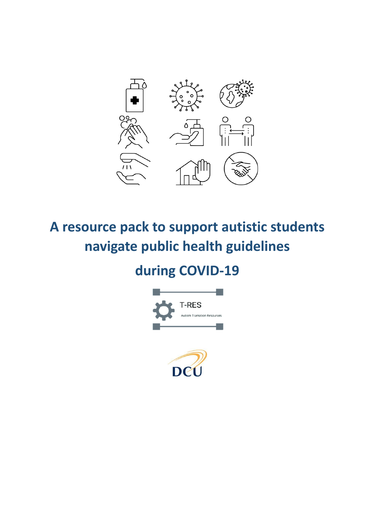

# **A resource pack to support autistic students navigate public health guidelines**

# **during COVID-19**



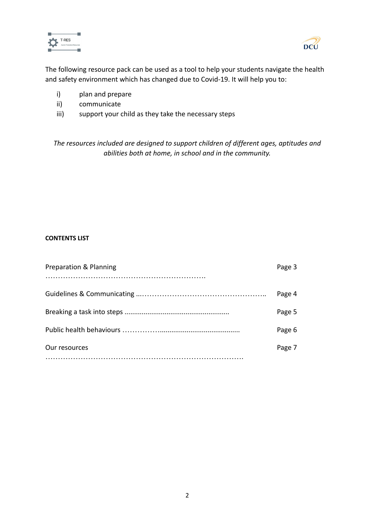



The following resource pack can be used as a tool to help your students navigate the health and safety environment which has changed due to Covid-19. It will help you to:

- i) plan and prepare
- ii) communicate
- iii) support your child as they take the necessary steps

*The resources included are designed to support children of different ages, aptitudes and abilities both at home, in school and in the community.*

# **CONTENTS LIST**

| Preparation & Planning | Page 3 |
|------------------------|--------|
|                        | Page 4 |
|                        | Page 5 |
|                        | Page 6 |
| Our resources          | Page 7 |
|                        |        |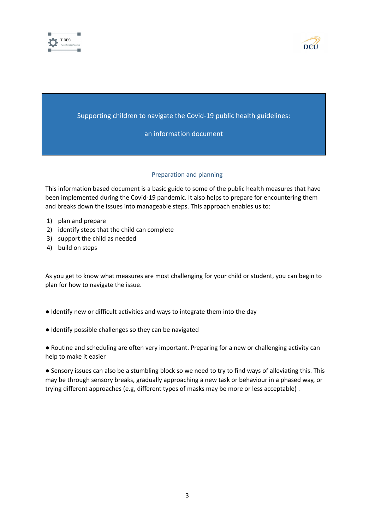



# Supporting children to navigate the Covid-19 public health guidelines:

an information document

#### Preparation and planning

This information based document is a basic guide to some of the public health measures that have been implemented during the Covid-19 pandemic. It also helps to prepare for encountering them and breaks down the issues into manageable steps. This approach enables us to:

- 1) plan and prepare
- 2) identify steps that the child can complete
- 3) support the child as needed
- 4) build on steps

As you get to know what measures are most challenging for your child or student, you can begin to plan for how to navigate the issue.

- Identify new or difficult activities and ways to integrate them into the day
- Identify possible challenges so they can be navigated

● Routine and scheduling are often very important. Preparing for a new or challenging activity can help to make it easier

● Sensory issues can also be a stumbling block so we need to try to find ways of alleviating this. This may be through sensory breaks, gradually approaching a new task or behaviour in a phased way, or trying different approaches (e.g, different types of masks may be more or less acceptable) .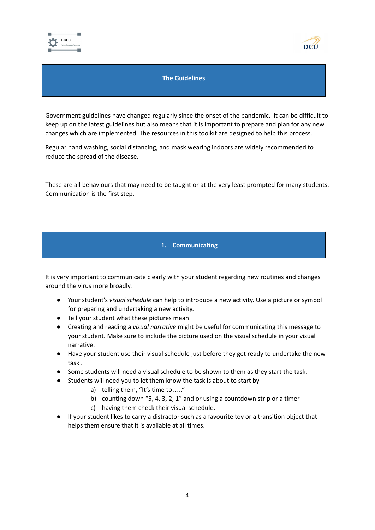



# **The Guidelines**

Government guidelines have changed regularly since the onset of the pandemic. It can be difficult to keep up on the latest guidelines but also means that it is important to prepare and plan for any new changes which are implemented. The resources in this toolkit are designed to help this process.

Regular hand washing, social distancing, and mask wearing indoors are widely recommended to reduce the spread of the disease.

These are all behaviours that may need to be taught or at the very least prompted for many students. Communication is the first step.

## **1. Communicating**

It is very important to communicate clearly with your student regarding new routines and changes around the virus more broadly.

- Your student's *visual schedule* can help to introduce a new activity. Use a picture or symbol for preparing and undertaking a new activity.
- Tell your student what these pictures mean.
- Creating and reading a *visual narrative* might be useful for communicating this message to your student. Make sure to include the picture used on the visual schedule in your visual narrative.
- Have your student use their visual schedule just before they get ready to undertake the new task .
- Some students will need a visual schedule to be shown to them as they start the task.
- Students will need you to let them know the task is about to start by
	- a) telling them, "It's time to….."
	- b) counting down "5, 4, 3, 2, 1" and or using a countdown strip or a timer
	- c) having them check their visual schedule.
- If your student likes to carry a distractor such as a favourite toy or a transition object that helps them ensure that it is available at all times.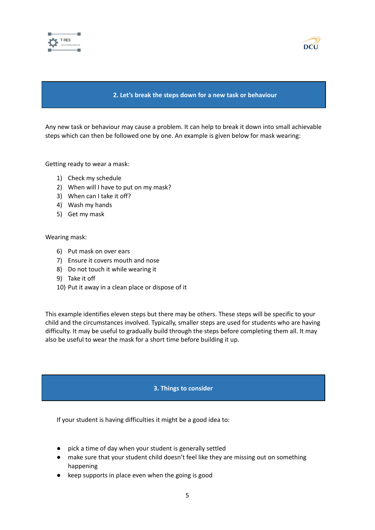



#### **2. Let's break the steps down for a new task or behaviour**

Any new task or behaviour may cause a problem. It can help to break it down into small achievable steps which can then be followed one by one. An example is given below for mask wearing:

Getting ready to wear a mask:

- 1) Check my schedule
- 2) When will I have to put on my mask?
- 3) When can I take it off?
- 4) Wash my hands
- 5) Get my mask

#### Wearing mask:

- 6) Put mask on over ears
- 7) Ensure it covers mouth and nose
- 8) Do not touch it while wearing it
- 9) Take it off
- 10) Put it away in a clean place or dispose of it

This example identifies eleven steps but there may be others. These steps will be specific to your child and the circumstances involved. Typically, smaller steps are used for students who are having difficulty. It may be useful to gradually build through the steps before completing them all. It may also be useful to wear the mask for a short time before building it up.

#### **3. Things to consider**

If your student is having difficulties it might be a good idea to:

- pick a time of day when your student is generally settled
- make sure that your student child doesn't feel like they are missing out on something happening
- keep supports in place even when the going is good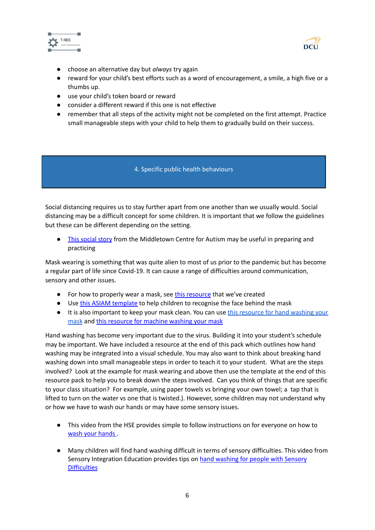



- choose an alternative day but *always* try again
- reward for your child's best efforts such as a word of encouragement, a smile, a high five or a thumbs up.
- use your child's token board or reward
- consider a different reward if this one is not effective
- remember that all steps of the activity might not be completed on the first attempt. Practice small manageable steps with your child to help them to gradually build on their success.

# 4. Specific public health behaviours

Social distancing requires us to stay further apart from one another than we usually would. Social distancing may be a difficult concept for some children. It is important that we follow the guidelines but these can be different depending on the setting.

This [social](https://www.middletownautism.com/news/coronavirus-social-distancing-social-story-3-2020) story from the Middletown Centre for Autism may be useful in preparing and practicing

Mask wearing is something that was quite alien to most of us prior to the pandemic but has become a regular part of life since Covid-19. It can cause a range of difficulties around communication, sensory and other issues.

- For how to properly wear a mask, see this [resource](https://autism-toolkit.ie/wp-content/uploads/2020/09/2-1use.pdf) that we've created
- Use this ASIAM [template](https://autism-toolkit.ie/wp-content/uploads/2020/09/2-3photo.pdf) to help children to recognise the face behind the mask
- It is also important to keep your mask clean. You can use this [resource](https://autism-toolkit.ie/wp-content/uploads/2020/09/2-2-1wash.pdf) for hand washing your [mask](https://autism-toolkit.ie/wp-content/uploads/2020/09/2-2-1wash.pdf) and this [resource](https://autism-toolkit.ie/wp-content/uploads/2020/09/2-2-2mask.pdf) for machine washing your mask

Hand washing has become very important due to the virus. Building it into your student's schedule may be important. We have included a resource at the end of this pack which outlines how hand washing may be integrated into a visual schedule. You may also want to think about breaking hand washing down into small manageable steps in order to teach it to your student. What are the steps involved? Look at the example for mask wearing and above then use the template at the end of this resource pack to help you to break down the steps involved. Can you think of things that are specific to your class situation? For example, using paper towels vs bringing your own towel; a tap that is lifted to turn on the water vs one that is twisted.). However, some children may not understand why or how we have to wash our hands or may have some sensory issues.

- This video from the HSE provides simple to follow instructions on for everyone on how to wash your [hands](https://www.youtube.com/watch?v=IsgLivAD2FE).
- Many children will find hand washing difficult in terms of sensory difficulties. This video from Sensory Integration Education provides tips on hand [washing](https://www.sensoryintegration.org.uk/News/8821506) for people with Sensory **[Difficulties](https://www.sensoryintegration.org.uk/News/8821506)**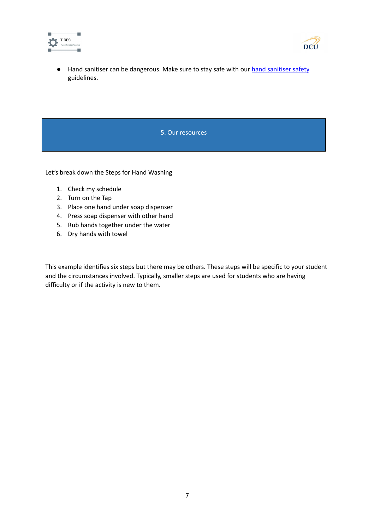



● Hand [sanitiser](https://autism-toolkit.ie/wp-content/uploads/2020/09/2-4stay.pdf) can be dangerous. Make sure to stay safe with our hand sanitiser safety guidelines.

| 5. Our resources |
|------------------|
|                  |

Let's break down the Steps for Hand Washing

- 1. Check my schedule
- 2. Turn on the Tap
- 3. Place one hand under soap dispenser
- 4. Press soap dispenser with other hand
- 5. Rub hands together under the water
- 6. Dry hands with towel

This example identifies six steps but there may be others. These steps will be specific to your student and the circumstances involved. Typically, smaller steps are used for students who are having difficulty or if the activity is new to them.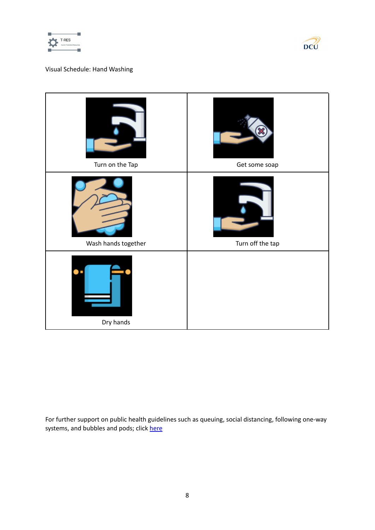



# Visual Schedule: Hand Washing

| Turn on the Tap     | Get some soap    |
|---------------------|------------------|
| Wash hands together | Turn off the tap |
| Dry hands           |                  |

For further support on public health guidelines such as queuing, social distancing, following one-way systems, and bubbles and pods; click [here](https://autism-toolkit.ie/wp-content/uploads/2021/04/Reminder-of-Public-Health-Interventions.pdf)